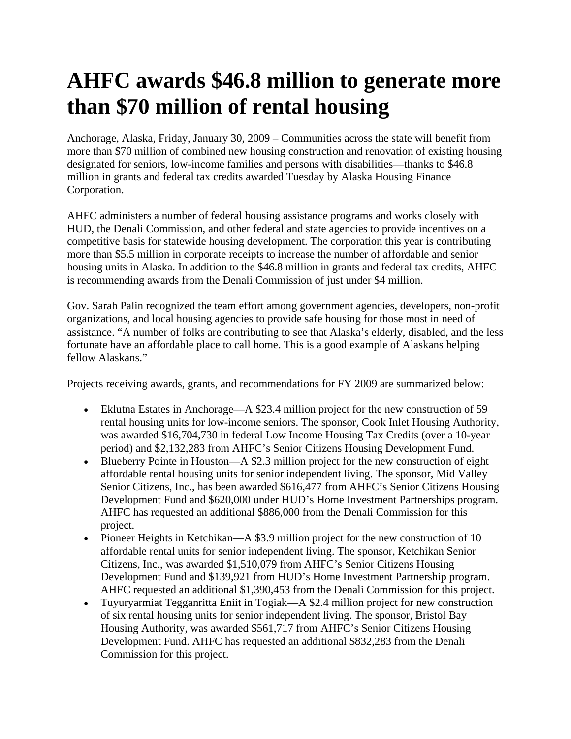## **AHFC awards \$46.8 million to generate more than \$70 million of rental housing**

Anchorage, Alaska, Friday, January 30, 2009 – Communities across the state will benefit from more than \$70 million of combined new housing construction and renovation of existing housing designated for seniors, low-income families and persons with disabilities—thanks to \$46.8 million in grants and federal tax credits awarded Tuesday by Alaska Housing Finance Corporation.

AHFC administers a number of federal housing assistance programs and works closely with HUD, the Denali Commission, and other federal and state agencies to provide incentives on a competitive basis for statewide housing development. The corporation this year is contributing more than \$5.5 million in corporate receipts to increase the number of affordable and senior housing units in Alaska. In addition to the \$46.8 million in grants and federal tax credits, AHFC is recommending awards from the Denali Commission of just under \$4 million.

Gov. Sarah Palin recognized the team effort among government agencies, developers, non-profit organizations, and local housing agencies to provide safe housing for those most in need of assistance. "A number of folks are contributing to see that Alaska's elderly, disabled, and the less fortunate have an affordable place to call home. This is a good example of Alaskans helping fellow Alaskans."

Projects receiving awards, grants, and recommendations for FY 2009 are summarized below:

- Eklutna Estates in Anchorage—A \$23.4 million project for the new construction of 59 rental housing units for low-income seniors. The sponsor, Cook Inlet Housing Authority, was awarded \$16,704,730 in federal Low Income Housing Tax Credits (over a 10-year period) and \$2,132,283 from AHFC's Senior Citizens Housing Development Fund.
- Blueberry Pointe in Houston—A \$2.3 million project for the new construction of eight affordable rental housing units for senior independent living. The sponsor, Mid Valley Senior Citizens, Inc., has been awarded \$616,477 from AHFC's Senior Citizens Housing Development Fund and \$620,000 under HUD's Home Investment Partnerships program. AHFC has requested an additional \$886,000 from the Denali Commission for this project.
- Pioneer Heights in Ketchikan—A \$3.9 million project for the new construction of 10 affordable rental units for senior independent living. The sponsor, Ketchikan Senior Citizens, Inc., was awarded \$1,510,079 from AHFC's Senior Citizens Housing Development Fund and \$139,921 from HUD's Home Investment Partnership program. AHFC requested an additional \$1,390,453 from the Denali Commission for this project.
- Tuyuryarmiat Tegganritta Eniit in Togiak—A \$2.4 million project for new construction of six rental housing units for senior independent living. The sponsor, Bristol Bay Housing Authority, was awarded \$561,717 from AHFC's Senior Citizens Housing Development Fund. AHFC has requested an additional \$832,283 from the Denali Commission for this project.